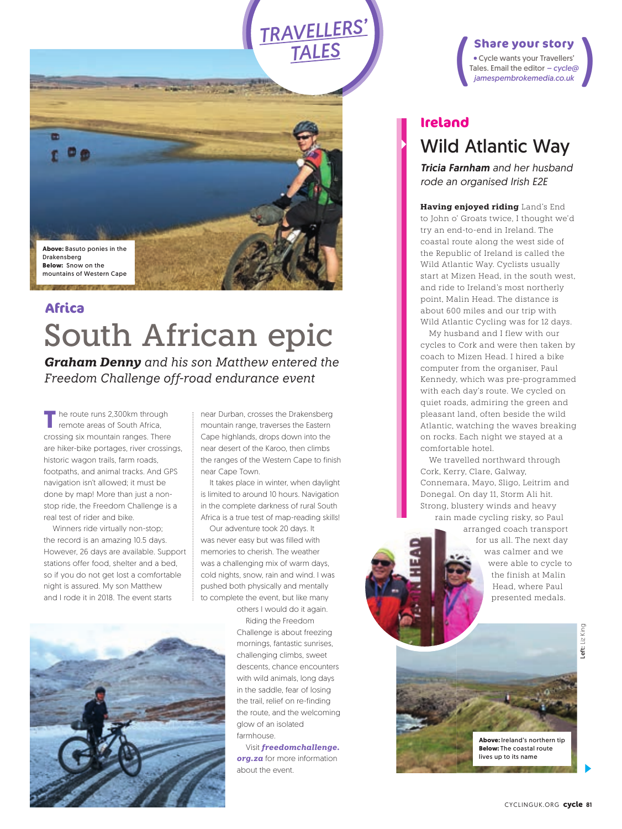**Above:** Basuto ponies in the Drakensberg **Below:** Snow on the mountains of Western Cape

## South African epic **Africa**

*Graham Denny and his son Matthew entered the Freedom Challenge off-road endurance event*

**T** he route runs 2,300km through remote areas of South Africa, crossing six mountain ranges. There are hiker-bike portages, river crossings, historic wagon trails, farm roads, footpaths, and animal tracks. And GPS navigation isn't allowed; it must be done by map! More than just a nonstop ride, the Freedom Challenge is a real test of rider and bike.

Winners ride virtually non-stop; the record is an amazing 10.5 days. However, 26 days are available. Support stations offer food, shelter and a bed, so if you do not get lost a comfortable night is assured. My son Matthew and I rode it in 2018. The event starts



near Durban, crosses the Drakensberg mountain range, traverses the Eastern Cape highlands, drops down into the near desert of the Karoo, then climbs the ranges of the Western Cape to finish near Cape Town.

*TRAVELLERS' TALES*

It takes place in winter, when daylight is limited to around 10 hours. Navigation in the complete darkness of rural South Africa is a true test of map-reading skills!

Our adventure took 20 days. It was never easy but was filled with memories to cherish. The weather was a challenging mix of warm days, cold nights, snow, rain and wind. I was pushed both physically and mentally to complete the event, but like many

others I would do it again. Riding the Freedom Challenge is about freezing mornings, fantastic sunrises, challenging climbs, sweet descents, chance encounters with wild animals, long days in the saddle, fear of losing the trail, relief on re-finding the route, and the welcoming glow of an isolated farmhouse.

Visit *freedomchallenge. org.za* for more information about the event.

**Share your story<br>
•** Cycle wants your Travellers'<br>
Tales. Email the editor – *cycle*@<br> *jamespembrokemedia.co.uk* Cycle wants your Travellers' Tales. Email the editor *– cycle@ jamespembrokemedia.co.uk*

### Wild Atlantic Way **Ireland**

*Tricia Farnham and her husband rode an organised Irish E2E*

**Having enjoyed riding** Land's End to John o' Groats twice, I thought we'd try an end-to-end in Ireland. The coastal route along the west side of the Republic of Ireland is called the Wild Atlantic Way. Cyclists usually start at Mizen Head, in the south west, and ride to Ireland's most northerly point, Malin Head. The distance is about 600 miles and our trip with Wild Atlantic Cycling was for 12 days.

 My husband and I flew with our cycles to Cork and were then taken by coach to Mizen Head. I hired a bike computer from the organiser, Paul Kennedy, which was pre-programmed with each day's route. We cycled on quiet roads, admiring the green and pleasant land, often beside the wild Atlantic, watching the waves breaking on rocks. Each night we stayed at a comfortable hotel.

 We travelled northward through Cork, Kerry, Clare, Galway, Connemara, Mayo, Sligo, Leitrim and Donegal. On day 11, Storm Ali hit. Strong, blustery winds and heavy rain made cycling risky, so Paul

arranged coach transport for us all. The next day was calmer and we were able to cycle to the finish at Malin Head, where Paul presented medals.



**Above:** Ireland's northern tip **Below:** The coastal route lives up to its name